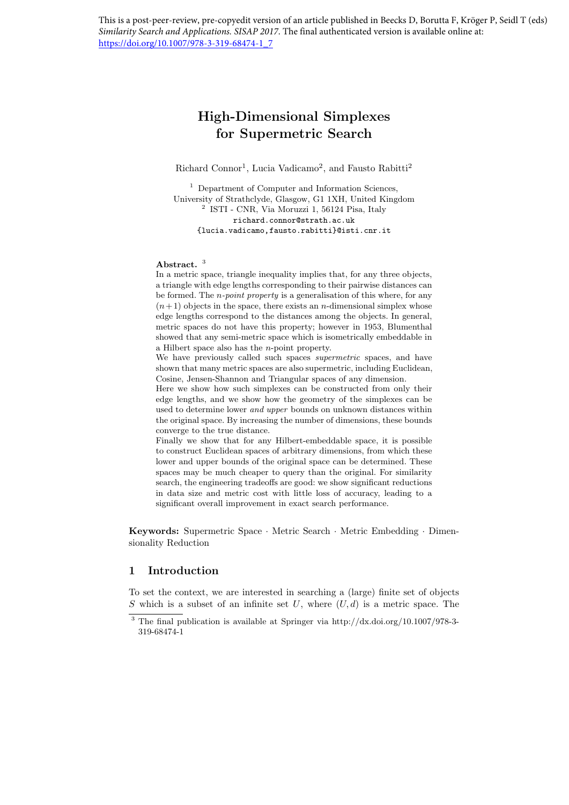This is a post-peer-review, pre-copyedit version of an article published in Beecks D, Borutta F, Kröger P, Seidl T (eds) *Similarity Search and Applications. SISAP 2017*. The final authenticated version is available online at: [https://doi.org/10.1007/978-3-319-68474-1\\_7](https://doi.org/10.1007/978-3-319-68474-1_7)

# High-Dimensional Simplexes for Supermetric Search

Richard Connor<sup>1</sup>, Lucia Vadicamo<sup>2</sup>, and Fausto Rabitti<sup>2</sup>

<sup>1</sup> Department of Computer and Information Sciences, University of Strathclyde, Glasgow, G1 1XH, United Kingdom 2 ISTI - CNR, Via Moruzzi 1, 56124 Pisa, Italy richard.connor@strath.ac.uk {lucia.vadicamo,fausto.rabitti}@isti.cnr.it

### Abstract.<sup>3</sup>

In a metric space, triangle inequality implies that, for any three objects, a triangle with edge lengths corresponding to their pairwise distances can be formed. The n-point property is a generalisation of this where, for any  $(n+1)$  objects in the space, there exists an *n*-dimensional simplex whose edge lengths correspond to the distances among the objects. In general, metric spaces do not have this property; however in 1953, Blumenthal showed that any semi-metric space which is isometrically embeddable in a Hilbert space also has the n-point property.

We have previously called such spaces supermetric spaces, and have shown that many metric spaces are also supermetric, including Euclidean, Cosine, Jensen-Shannon and Triangular spaces of any dimension.

Here we show how such simplexes can be constructed from only their edge lengths, and we show how the geometry of the simplexes can be used to determine lower and upper bounds on unknown distances within the original space. By increasing the number of dimensions, these bounds converge to the true distance.

Finally we show that for any Hilbert-embeddable space, it is possible to construct Euclidean spaces of arbitrary dimensions, from which these lower and upper bounds of the original space can be determined. These spaces may be much cheaper to query than the original. For similarity search, the engineering tradeoffs are good: we show significant reductions in data size and metric cost with little loss of accuracy, leading to a significant overall improvement in exact search performance.

Keywords: Supermetric Space · Metric Search · Metric Embedding · Dimensionality Reduction

# 1 Introduction

To set the context, we are interested in searching a (large) finite set of objects S which is a subset of an infinite set U, where  $(U, d)$  is a metric space. The

<sup>3</sup> The final publication is available at Springer via http://dx.doi.org/10.1007/978-3- 319-68474-1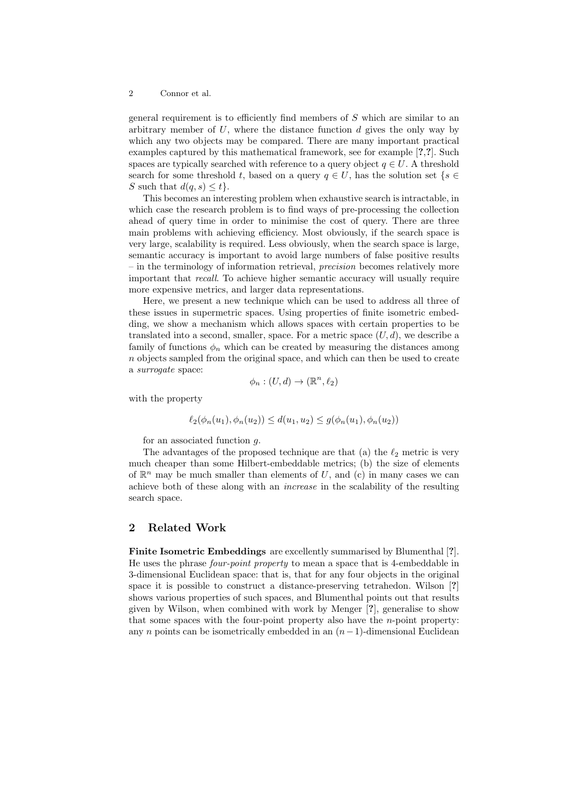general requirement is to efficiently find members of S which are similar to an arbitrary member of  $U$ , where the distance function  $d$  gives the only way by which any two objects may be compared. There are many important practical examples captured by this mathematical framework, see for example [?,?]. Such spaces are typically searched with reference to a query object  $q \in U$ . A threshold search for some threshold t, based on a query  $q \in U$ , has the solution set  $\{s \in$ S such that  $d(q, s) \leq t$ .

This becomes an interesting problem when exhaustive search is intractable, in which case the research problem is to find ways of pre-processing the collection ahead of query time in order to minimise the cost of query. There are three main problems with achieving efficiency. Most obviously, if the search space is very large, scalability is required. Less obviously, when the search space is large, semantic accuracy is important to avoid large numbers of false positive results – in the terminology of information retrieval, precision becomes relatively more important that recall. To achieve higher semantic accuracy will usually require more expensive metrics, and larger data representations.

Here, we present a new technique which can be used to address all three of these issues in supermetric spaces. Using properties of finite isometric embedding, we show a mechanism which allows spaces with certain properties to be translated into a second, smaller, space. For a metric space  $(U, d)$ , we describe a family of functions  $\phi_n$  which can be created by measuring the distances among n objects sampled from the original space, and which can then be used to create a surrogate space:

$$
\phi_n : (U, d) \to (\mathbb{R}^n, \ell_2)
$$

with the property

$$
\ell_2(\phi_n(u_1), \phi_n(u_2)) \le d(u_1, u_2) \le g(\phi_n(u_1), \phi_n(u_2))
$$

for an associated function  $q$ .

The advantages of the proposed technique are that (a) the 
$$
\ell_2
$$
 metric is very much cheaper than some Hilbert-embeddable metrics; (b) the size of elements of  $\mathbb{R}^n$  may be much smaller than elements of  $U$ , and (c) in many cases we can achieve both of these along with an *increase* in the scalability of the resulting search space.

### 2 Related Work

Finite Isometric Embeddings are excellently summarised by Blumenthal [?]. He uses the phrase four-point property to mean a space that is 4-embeddable in 3-dimensional Euclidean space: that is, that for any four objects in the original space it is possible to construct a distance-preserving tetrahedon. Wilson [?] shows various properties of such spaces, and Blumenthal points out that results given by Wilson, when combined with work by Menger [?], generalise to show that some spaces with the four-point property also have the  $n$ -point property: any n points can be isometrically embedded in an  $(n-1)$ -dimensional Euclidean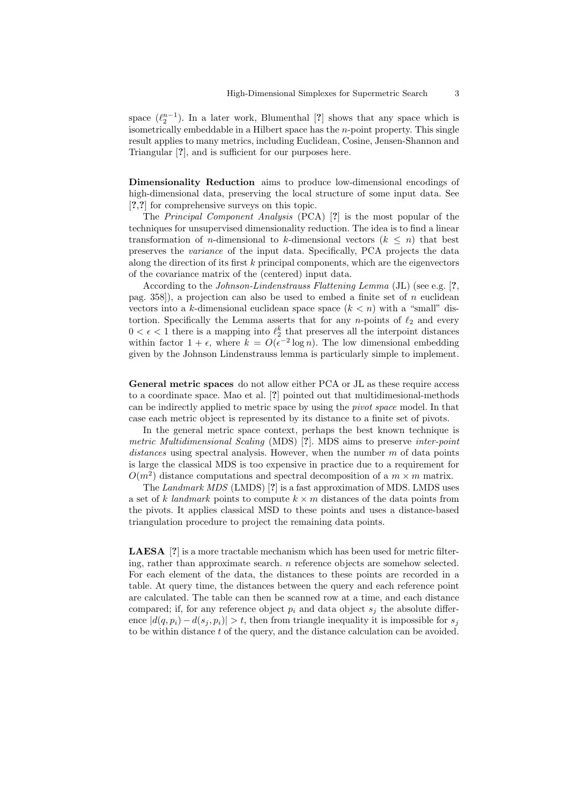space  $(\ell_2^{n-1})$ . In a later work, Blumenthal [?] shows that any space which is isometrically embeddable in a Hilbert space has the n-point property. This single result applies to many metrics, including Euclidean, Cosine, Jensen-Shannon and Triangular [?], and is sufficient for our purposes here.

Dimensionality Reduction aims to produce low-dimensional encodings of high-dimensional data, preserving the local structure of some input data. See [?,?] for comprehensive surveys on this topic.

The Principal Component Analysis (PCA) [?] is the most popular of the techniques for unsupervised dimensionality reduction. The idea is to find a linear transformation of *n*-dimensional to k-dimensional vectors  $(k \leq n)$  that best preserves the variance of the input data. Specifically, PCA projects the data along the direction of its first  $k$  principal components, which are the eigenvectors of the covariance matrix of the (centered) input data.

According to the Johnson-Lindenstrauss Flattening Lemma (JL) (see e.g. [?, pag.  $358$ ), a projection can also be used to embed a finite set of n euclidean vectors into a k-dimensional euclidean space space  $(k < n)$  with a "small" distortion. Specifically the Lemma asserts that for any n-points of  $\ell_2$  and every  $0 < \epsilon < 1$  there is a mapping into  $\ell_2^k$  that preserves all the interpoint distances within factor  $1 + \epsilon$ , where  $k = O(\epsilon^{-2} \log n)$ . The low dimensional embedding given by the Johnson Lindenstrauss lemma is particularly simple to implement.

General metric spaces do not allow either PCA or JL as these require access to a coordinate space. Mao et al. [?] pointed out that multidimesional-methods can be indirectly applied to metric space by using the pivot space model. In that case each metric object is represented by its distance to a finite set of pivots.

In the general metric space context, perhaps the best known technique is metric Multidimensional Scaling (MDS) [?]. MDS aims to preserve inter-point distances using spectral analysis. However, when the number  $m$  of data points is large the classical MDS is too expensive in practice due to a requirement for  $O(m^2)$  distance computations and spectral decomposition of a  $m \times m$  matrix.

The Landmark MDS (LMDS) [?] is a fast approximation of MDS. LMDS uses a set of k landmark points to compute  $k \times m$  distances of the data points from the pivots. It applies classical MSD to these points and uses a distance-based triangulation procedure to project the remaining data points.

LAESA [?] is a more tractable mechanism which has been used for metric filtering, rather than approximate search.  $n$  reference objects are somehow selected. For each element of the data, the distances to these points are recorded in a table. At query time, the distances between the query and each reference point are calculated. The table can then be scanned row at a time, and each distance compared; if, for any reference object  $p_i$  and data object  $s_j$  the absolute difference  $|d(q, p_i) - d(s_j, p_i)| > t$ , then from triangle inequality it is impossible for  $s_j$ to be within distance  $t$  of the query, and the distance calculation can be avoided.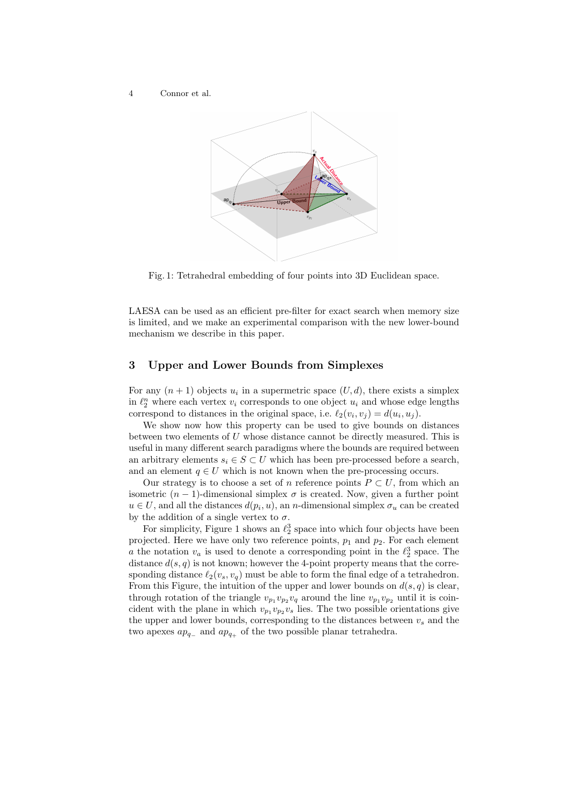

Fig. 1: Tetrahedral embedding of four points into 3D Euclidean space.

LAESA can be used as an efficient pre-filter for exact search when memory size is limited, and we make an experimental comparison with the new lower-bound mechanism we describe in this paper.

# 3 Upper and Lower Bounds from Simplexes

For any  $(n+1)$  objects  $u_i$  in a supermetric space  $(U, d)$ , there exists a simplex in  $\ell_2^n$  where each vertex  $v_i$  corresponds to one object  $u_i$  and whose edge lengths correspond to distances in the original space, i.e.  $\ell_2(v_i, v_j) = d(u_i, u_j)$ .

We show now how this property can be used to give bounds on distances between two elements of U whose distance cannot be directly measured. This is useful in many different search paradigms where the bounds are required between an arbitrary elements  $s_i \in S \subset U$  which has been pre-processed before a search, and an element  $q \in U$  which is not known when the pre-processing occurs.

Our strategy is to choose a set of n reference points  $P \subset U$ , from which an isometric  $(n-1)$ -dimensional simplex  $\sigma$  is created. Now, given a further point  $u \in U$ , and all the distances  $d(p_i, u)$ , an n-dimensional simplex  $\sigma_u$  can be created by the addition of a single vertex to  $\sigma$ .

For simplicity, Figure 1 shows an  $\ell_2^3$  space into which four objects have been projected. Here we have only two reference points,  $p_1$  and  $p_2$ . For each element a the notation  $v_a$  is used to denote a corresponding point in the  $\ell_2^3$  space. The distance  $d(s, q)$  is not known; however the 4-point property means that the corresponding distance  $\ell_2(v_s, v_q)$  must be able to form the final edge of a tetrahedron. From this Figure, the intuition of the upper and lower bounds on  $d(s, q)$  is clear, through rotation of the triangle  $v_{p_1}v_{p_2}v_q$  around the line  $v_{p_1}v_{p_2}$  until it is coincident with the plane in which  $v_{p_1}v_{p_2}v_s$  lies. The two possible orientations give the upper and lower bounds, corresponding to the distances between  $v<sub>s</sub>$  and the two apexes  $ap_{q-}$  and  $ap_{q+}$  of the two possible planar tetrahedra.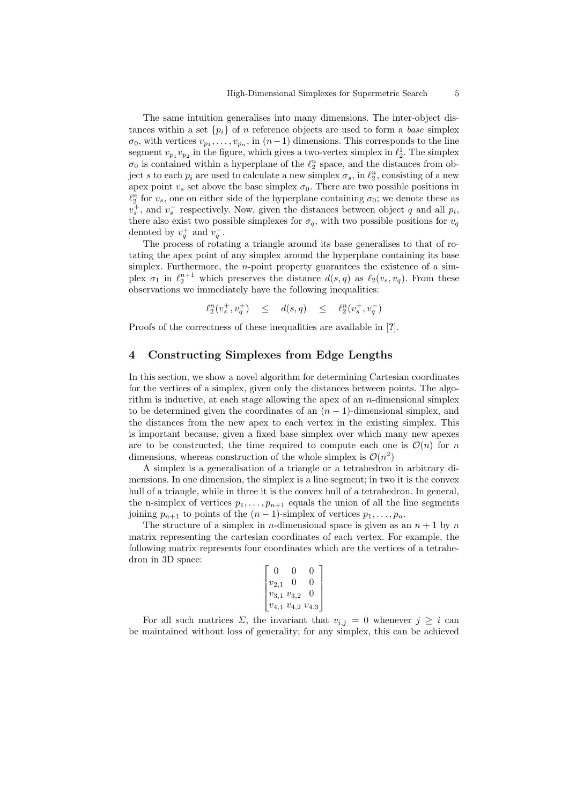The same intuition generalises into many dimensions. The inter-object distances within a set  $\{p_i\}$  of n reference objects are used to form a base simplex  $\sigma_0$ , with vertices  $v_{p_1}, \ldots, v_{p_n}$ , in  $(n-1)$  dimensions. This corresponds to the line segment  $v_{p_1}v_{p_2}$  in the figure, which gives a two-vertex simplex in  $\ell_2^1$ . The simplex  $\sigma_0$  is contained within a hyperplane of the  $\ell_2^n$  space, and the distances from object s to each  $p_i$  are used to calculate a new simplex  $\sigma_s$ , in  $\ell_2^n$ , consisting of a new apex point  $v_s$  set above the base simplex  $\sigma_0$ . There are two possible positions in  $\ell_2^n$  for  $v_s$ , one on either side of the hyperplane containing  $\sigma_0$ ; we denote these as  $v_s^+$ , and  $v_s^-$  respectively. Now, given the distances between object q and all  $p_i$ , there also exist two possible simplexes for  $\sigma_q$ , with two possible positions for  $v_q$ denoted by  $v_q^+$  and  $v_q^-$ .

The process of rotating a triangle around its base generalises to that of rotating the apex point of any simplex around the hyperplane containing its base simplex. Furthermore, the  $n$ -point property guarantees the existence of a simplex  $\sigma_1$  in  $\ell_2^{n+1}$  which preserves the distance  $d(s,q)$  as  $\ell_2(v_s,v_q)$ . From these observations we immediately have the following inequalities:

 $\ell_2^n(v_s^+, v_q^+) \leq d(s, q) \leq \ell_2^n(v_s^+, v_q^-)$ 

Proofs of the correctness of these inequalities are available in [?].

# 4 Constructing Simplexes from Edge Lengths

In this section, we show a novel algorithm for determining Cartesian coordinates for the vertices of a simplex, given only the distances between points. The algorithm is inductive, at each stage allowing the apex of an  $n$ -dimensional simplex to be determined given the coordinates of an  $(n - 1)$ -dimensional simplex, and the distances from the new apex to each vertex in the existing simplex. This is important because, given a fixed base simplex over which many new apexes are to be constructed, the time required to compute each one is  $\mathcal{O}(n)$  for n dimensions, whereas construction of the whole simplex is  $\mathcal{O}(n^2)$ 

A simplex is a generalisation of a triangle or a tetrahedron in arbitrary dimensions. In one dimension, the simplex is a line segment; in two it is the convex hull of a triangle, while in three it is the convex hull of a tetrahedron. In general, the n-simplex of vertices  $p_1, \ldots, p_{n+1}$  equals the union of all the line segments joining  $p_{n+1}$  to points of the  $(n-1)$ -simplex of vertices  $p_1, \ldots, p_n$ .

The structure of a simplex in *n*-dimensional space is given as an  $n + 1$  by n matrix representing the cartesian coordinates of each vertex. For example, the following matrix represents four coordinates which are the vertices of a tetrahedron in 3D space:

| 0                   | 0                             |  |
|---------------------|-------------------------------|--|
| $\upsilon_{2,1}$    |                               |  |
| $v_{3,1}$ $v_{3,2}$ |                               |  |
|                     | $v_{4,1}$ $v_{4,2}$ $v_{4,3}$ |  |

For all such matrices  $\Sigma$ , the invariant that  $v_{i,j} = 0$  whenever  $j \geq i$  can be maintained without loss of generality; for any simplex, this can be achieved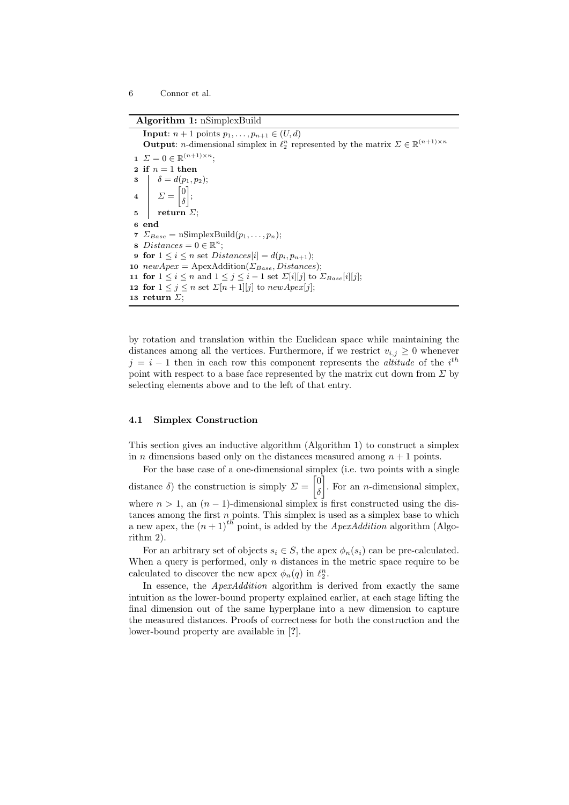Algorithm 1: nSimplexBuild

**Input:**  $n + 1$  points  $p_1, ..., p_{n+1} \in (U, d)$ **Output:** *n*-dimensional simplex in  $\ell_2^n$  represented by the matrix  $\Sigma \in \mathbb{R}^{(n+1)\times n}$ 1  $\Sigma = 0 \in \mathbb{R}^{(n+1)\times n}$ ; 2 if  $n = 1$  then 3  $\big| \delta = d(p_1, p_2);$  $4\mid\Sigma=$  $\lceil 0$ δ 1 ; 5 | return  $\Sigma$ ; 6 end 7  $\Sigma_{Base} = \text{nSimplexBuild}(p_1, \ldots, p_n);$ 8 Distances =  $0 \in \mathbb{R}^n$ ; 9 for  $1 \leq i \leq n$  set  $Distance[i] = d(p_i, p_{n+1});$ 10  $newApex = A pexAddition(\Sigma_{Base}, Distances);$ 11 for  $1 \leq i \leq n$  and  $1 \leq j \leq i-1$  set  $\Sigma[i][j]$  to  $\Sigma_{Base}[i][j];$ 12 for  $1 \leq j \leq n$  set  $\Sigma[n+1][j]$  to  $newApex[j];$ 13 return  $\Sigma$ ;

by rotation and translation within the Euclidean space while maintaining the distances among all the vertices. Furthermore, if we restrict  $v_{i,j} \geq 0$  whenever  $j = i - 1$  then in each row this component represents the *altitude* of the i<sup>th</sup> point with respect to a base face represented by the matrix cut down from  $\Sigma$  by selecting elements above and to the left of that entry.

#### 4.1 Simplex Construction

This section gives an inductive algorithm (Algorithm 1) to construct a simplex in *n* dimensions based only on the distances measured among  $n + 1$  points.

For the base case of a one-dimensional simplex (i.e. two points with a single distance  $\delta$ ) the construction is simply  $\Sigma = \begin{bmatrix} 0 \\ s \end{bmatrix}$  $\delta$  $\lbrack$ . For an *n*-dimensional simplex, where  $n > 1$ , an  $(n - 1)$ -dimensional simplex is first constructed using the distances among the first  $n$  points. This simplex is used as a simplex base to which a new apex, the  $(n + 1)$ <sup>th</sup> point, is added by the *ApexAddition* algorithm (Algorithm 2).

For an arbitrary set of objects  $s_i \in S$ , the apex  $\phi_n(s_i)$  can be pre-calculated. When a query is performed, only  $n$  distances in the metric space require to be calculated to discover the new apex  $\phi_n(q)$  in  $\ell_2^n$ .

In essence, the *ApexAddition* algorithm is derived from exactly the same intuition as the lower-bound property explained earlier, at each stage lifting the final dimension out of the same hyperplane into a new dimension to capture the measured distances. Proofs of correctness for both the construction and the lower-bound property are available in [?].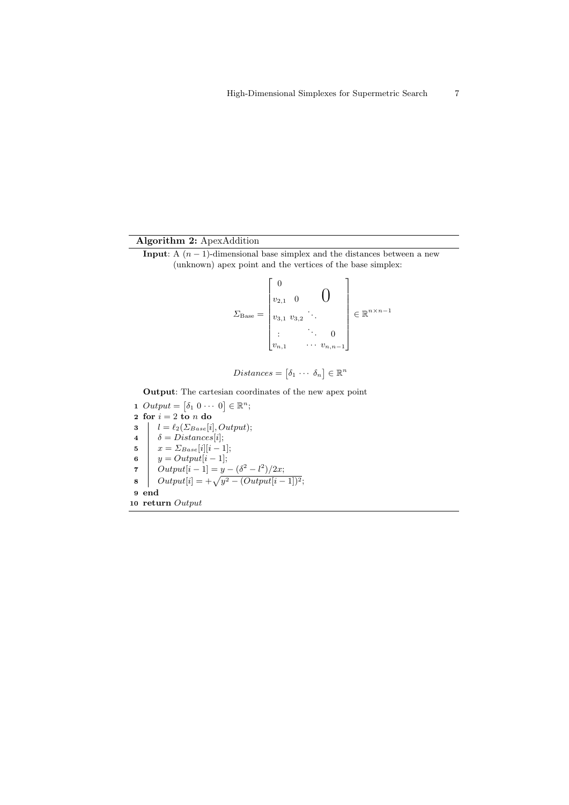# Algorithm 2: ApexAddition

**Input:** A  $(n - 1)$ -dimensional base simplex and the distances between a new (unknown) apex point and the vertices of the base simplex:

$$
\Sigma_{\text{Base}} = \begin{bmatrix} 0 & & & \\ v_{2,1} & 0 & 0 & \\ v_{3,1} & v_{3,2} & \ddots & \\ \vdots & \ddots & \vdots & 0 \\ v_{n,1} & \cdots & v_{n,n-1} \end{bmatrix} \in \mathbb{R}^{n \times n-1}
$$

 $Distances = \begin{bmatrix} \delta_1 & \cdots & \delta_n \end{bmatrix} \in \mathbb{R}^n$ 

Output: The cartesian coordinates of the new apex point

1  $Output = [\delta_1 \ 0 \ \cdots \ 0] \in \mathbb{R}^n;$ 2 for  $i = 2$  to n do **3**  $\begin{array}{c} \n\cdot & l = \ell_2(\Sigma_{Base}[i], Output); \\
\delta = Distance[i];\n\end{array}$  $\delta = Distances[i];$ 5  $x = \sum_{Base}[i][i-1];$ 6 |  $y = Output[i-1];$ 7  $\big|$  *Output* $[i-1] = y - (\delta^2 - l^2)/2x;$ 8 |  $Output[i] = +\sqrt{y^2 - (Output[i-1])^2};$ 9 end 10 return Output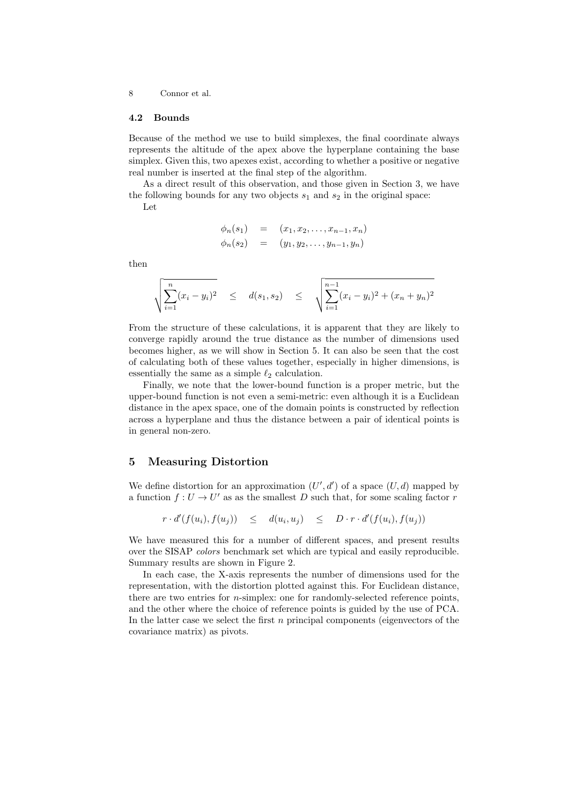#### 4.2 Bounds

Because of the method we use to build simplexes, the final coordinate always represents the altitude of the apex above the hyperplane containing the base simplex. Given this, two apexes exist, according to whether a positive or negative real number is inserted at the final step of the algorithm.

As a direct result of this observation, and those given in Section 3, we have the following bounds for any two objects  $s_1$  and  $s_2$  in the original space:

Let

$$
\begin{array}{rcl}\n\phi_n(s_1) & = & (x_1, x_2, \dots, x_{n-1}, x_n) \\
\phi_n(s_2) & = & (y_1, y_2, \dots, y_{n-1}, y_n)\n\end{array}
$$

then

$$
\sqrt{\sum_{i=1}^{n} (x_i - y_i)^2} \leq d(s_1, s_2) \leq \sqrt{\sum_{i=1}^{n-1} (x_i - y_i)^2 + (x_n + y_n)^2}
$$

From the structure of these calculations, it is apparent that they are likely to converge rapidly around the true distance as the number of dimensions used becomes higher, as we will show in Section 5. It can also be seen that the cost of calculating both of these values together, especially in higher dimensions, is essentially the same as a simple  $\ell_2$  calculation.

Finally, we note that the lower-bound function is a proper metric, but the upper-bound function is not even a semi-metric: even although it is a Euclidean distance in the apex space, one of the domain points is constructed by reflection across a hyperplane and thus the distance between a pair of identical points is in general non-zero.

### 5 Measuring Distortion

We define distortion for an approximation  $(U', d')$  of a space  $(U, d)$  mapped by a function  $f: U \to U'$  as as the smallest D such that, for some scaling factor r

 $r \cdot d'(f(u_i), f(u_j)) \leq d(u_i, u_j) \leq D \cdot r \cdot d'(f(u_i), f(u_j))$ 

We have measured this for a number of different spaces, and present results over the SISAP colors benchmark set which are typical and easily reproducible. Summary results are shown in Figure 2.

In each case, the X-axis represents the number of dimensions used for the representation, with the distortion plotted against this. For Euclidean distance, there are two entries for  $n$ -simplex: one for randomly-selected reference points, and the other where the choice of reference points is guided by the use of PCA. In the latter case we select the first  $n$  principal components (eigenvectors of the covariance matrix) as pivots.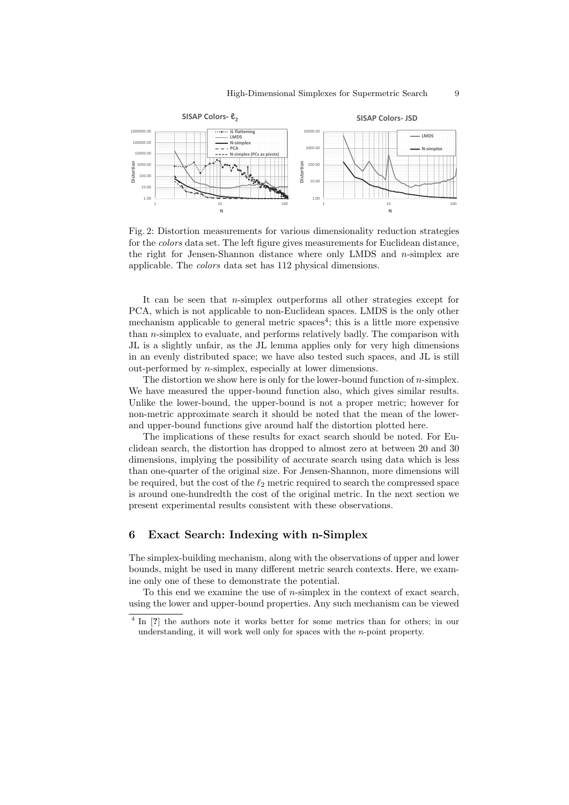

Fig. 2: Distortion measurements for various dimensionality reduction strategies for the colors data set. The left figure gives measurements for Euclidean distance, the right for Jensen-Shannon distance where only LMDS and  $n$ -simplex are applicable. The colors data set has 112 physical dimensions.

It can be seen that n-simplex outperforms all other strategies except for PCA, which is not applicable to non-Euclidean spaces. LMDS is the only other mechanism applicable to general metric spaces<sup>4</sup>; this is a little more expensive than n-simplex to evaluate, and performs relatively badly. The comparison with JL is a slightly unfair, as the JL lemma applies only for very high dimensions in an evenly distributed space; we have also tested such spaces, and JL is still out-performed by n-simplex, especially at lower dimensions.

The distortion we show here is only for the lower-bound function of  $n$ -simplex. We have measured the upper-bound function also, which gives similar results. Unlike the lower-bound, the upper-bound is not a proper metric; however for non-metric approximate search it should be noted that the mean of the lowerand upper-bound functions give around half the distortion plotted here.

The implications of these results for exact search should be noted. For Euclidean search, the distortion has dropped to almost zero at between 20 and 30 dimensions, implying the possibility of accurate search using data which is less than one-quarter of the original size. For Jensen-Shannon, more dimensions will be required, but the cost of the  $\ell_2$  metric required to search the compressed space is around one-hundredth the cost of the original metric. In the next section we present experimental results consistent with these observations.

# 6 Exact Search: Indexing with n-Simplex

The simplex-building mechanism, along with the observations of upper and lower bounds, might be used in many different metric search contexts. Here, we examine only one of these to demonstrate the potential.

To this end we examine the use of  $n$ -simplex in the context of exact search, using the lower and upper-bound properties. Any such mechanism can be viewed

<sup>&</sup>lt;sup>4</sup> In [?] the authors note it works better for some metrics than for others; in our understanding, it will work well only for spaces with the n-point property.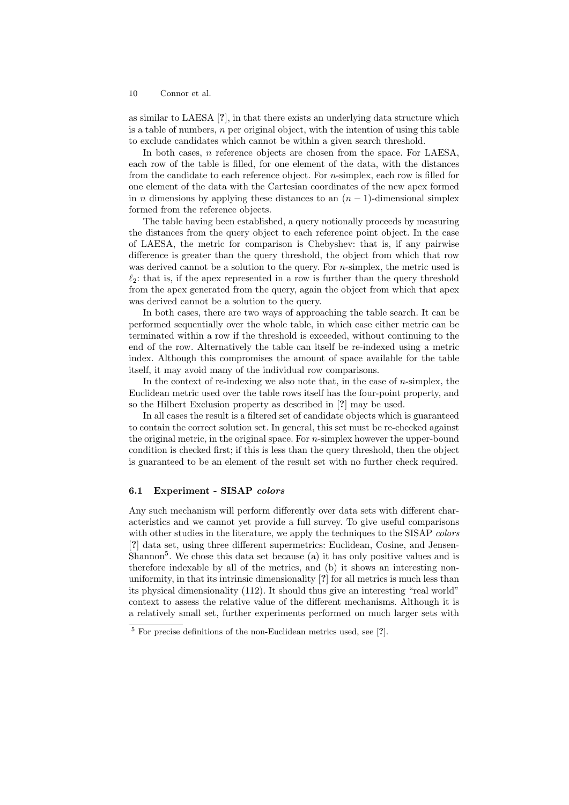as similar to LAESA [?], in that there exists an underlying data structure which is a table of numbers,  $n$  per original object, with the intention of using this table to exclude candidates which cannot be within a given search threshold.

In both cases, *n* reference objects are chosen from the space. For LAESA, each row of the table is filled, for one element of the data, with the distances from the candidate to each reference object. For  $n$ -simplex, each row is filled for one element of the data with the Cartesian coordinates of the new apex formed in n dimensions by applying these distances to an  $(n - 1)$ -dimensional simplex formed from the reference objects.

The table having been established, a query notionally proceeds by measuring the distances from the query object to each reference point object. In the case of LAESA, the metric for comparison is Chebyshev: that is, if any pairwise difference is greater than the query threshold, the object from which that row was derived cannot be a solution to the query. For  $n$ -simplex, the metric used is  $\ell_2$ : that is, if the apex represented in a row is further than the query threshold from the apex generated from the query, again the object from which that apex was derived cannot be a solution to the query.

In both cases, there are two ways of approaching the table search. It can be performed sequentially over the whole table, in which case either metric can be terminated within a row if the threshold is exceeded, without continuing to the end of the row. Alternatively the table can itself be re-indexed using a metric index. Although this compromises the amount of space available for the table itself, it may avoid many of the individual row comparisons.

In the context of re-indexing we also note that, in the case of  $n$ -simplex, the Euclidean metric used over the table rows itself has the four-point property, and so the Hilbert Exclusion property as described in [?] may be used.

In all cases the result is a filtered set of candidate objects which is guaranteed to contain the correct solution set. In general, this set must be re-checked against the original metric, in the original space. For  $n$ -simplex however the upper-bound condition is checked first; if this is less than the query threshold, then the object is guaranteed to be an element of the result set with no further check required.

### 6.1 Experiment - SISAP colors

Any such mechanism will perform differently over data sets with different characteristics and we cannot yet provide a full survey. To give useful comparisons with other studies in the literature, we apply the techniques to the SISAP colors [?] data set, using three different supermetrics: Euclidean, Cosine, and Jensen-Shannon<sup>5</sup>. We chose this data set because (a) it has only positive values and is therefore indexable by all of the metrics, and (b) it shows an interesting nonuniformity, in that its intrinsic dimensionality [?] for all metrics is much less than its physical dimensionality (112). It should thus give an interesting "real world" context to assess the relative value of the different mechanisms. Although it is a relatively small set, further experiments performed on much larger sets with

 $5$  For precise definitions of the non-Euclidean metrics used, see [?].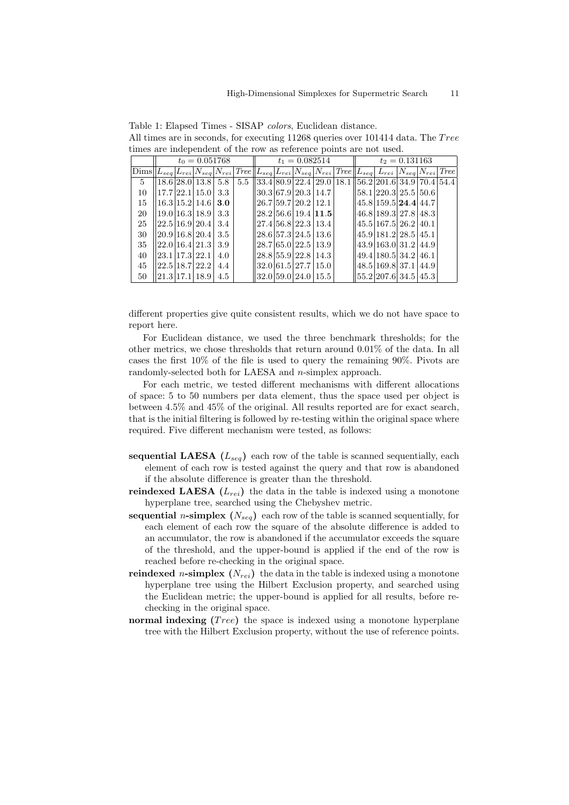| <u>unico die metopemeent of the four do ferenched penno die not docu</u>                                                                                                                                                                                                  |                                                                                                                                     |  |                    |  |  |                                                     |  |  |                                              |  |  |                                                                                               |  |  |  |
|---------------------------------------------------------------------------------------------------------------------------------------------------------------------------------------------------------------------------------------------------------------------------|-------------------------------------------------------------------------------------------------------------------------------------|--|--------------------|--|--|-----------------------------------------------------|--|--|----------------------------------------------|--|--|-----------------------------------------------------------------------------------------------|--|--|--|
|                                                                                                                                                                                                                                                                           |                                                                                                                                     |  | $t_0 = 0.051768$   |  |  | $t_1 = 0.082514$ $t_2 = 0.131163$                   |  |  |                                              |  |  |                                                                                               |  |  |  |
| $\text{Dims} \Vert L_{seq} \vert L_{req} \vert N_{req} \vert N_{req} \vert N_{req} \vert T_{req} \vert L_{seq} \vert L_{req} \vert N_{req} \vert N_{req} \vert T_{req} \vert L_{seq} \vert L_{req} \vert N_{req} \vert N_{req} \vert N_{req} \vert T_{req} \vert T_{req}$ |                                                                                                                                     |  |                    |  |  |                                                     |  |  |                                              |  |  |                                                                                               |  |  |  |
| - 5                                                                                                                                                                                                                                                                       |                                                                                                                                     |  |                    |  |  |                                                     |  |  |                                              |  |  | $\ 18.6\ 28.0\ 13.8\ 5.8\ 5.5\ 33.4\ 80.9\ 22.4\ 29.0\ 18.1\ 56.2\ 201.6\ 34.9\ 70.4\ 54.4\ $ |  |  |  |
| 10                                                                                                                                                                                                                                                                        | $\left\vert \left\vert 17.7\right\vert \left\vert 22.1\right\vert \left\vert 15.0\right\vert \left\vert 3.3\right\vert \right\vert$ |  |                    |  |  | $\vert 30.3\vert 67.9\vert 20.3\vert 14.7\vert$     |  |  |                                              |  |  | $\vert 58.1 \vert 220.3 \vert 25.5 \vert 50.6 \vert$                                          |  |  |  |
| 15                                                                                                                                                                                                                                                                        | $\parallel$ 16.3   15.2   14.6   3.0                                                                                                |  |                    |  |  | $\left[26.7\right]59.7\right]20.2\left[12.1\right]$ |  |  |                                              |  |  | $\ 45.8\ 159.5\ 24.4\ 44.7\ $                                                                 |  |  |  |
| 20                                                                                                                                                                                                                                                                        | 19.0 16.3 18.9 3.3                                                                                                                  |  |                    |  |  | $\vert 28.2 \vert 56.6 \vert 19.4 \vert 11.5 \vert$ |  |  |                                              |  |  | $\left  46.8 \right  189.3 \left  27.8 \right  48.3$                                          |  |  |  |
| 25                                                                                                                                                                                                                                                                        | 22.5  16.9  20.4  3.4                                                                                                               |  |                    |  |  | 27.4 56.8 22.3 13.4                                 |  |  |                                              |  |  | $\ 45.5\ 167.5\ 26.2\ 40.1$                                                                   |  |  |  |
| 30                                                                                                                                                                                                                                                                        | 20.9 16.8 20.4  3.5                                                                                                                 |  |                    |  |  |                                                     |  |  | $\left[28.6\right]57.3\left[24.5\right]13.6$ |  |  | $\ 45.9\ 181.2\ 28.5\ 45.1$                                                                   |  |  |  |
| 35                                                                                                                                                                                                                                                                        | 22.0  16.4  21.3  3.9                                                                                                               |  |                    |  |  |                                                     |  |  | 28.7 65.0 22.5 13.9                          |  |  | 43.9  163.0  31.2  44.9                                                                       |  |  |  |
| 40                                                                                                                                                                                                                                                                        |                                                                                                                                     |  | 23.1 17.3 22.1 4.0 |  |  |                                                     |  |  | 28.8 55.9  22.8  14.3                        |  |  | $\vert 49.4 \vert 180.5 \vert 34.2 \vert 46.1$                                                |  |  |  |
| 45                                                                                                                                                                                                                                                                        | 22.5    18.7    22.2    4.4                                                                                                         |  |                    |  |  |                                                     |  |  | 32.0 61.5 27.7 15.0                          |  |  | $\vert 48.5\vert 169.8\vert 37.1\vert 44.9$                                                   |  |  |  |
| 50                                                                                                                                                                                                                                                                        | 21.3 17.1 18.9 4.5                                                                                                                  |  |                    |  |  |                                                     |  |  | 32.0 59.0 24.0 15.5                          |  |  | 55.2  207.6  34.5  45.3                                                                       |  |  |  |

Table 1: Elapsed Times - SISAP colors, Euclidean distance. All times are in seconds, for executing  $11268$  queries over  $101414$  data. The  $Tree$ times are independent of the row as reference points are not used.

different properties give quite consistent results, which we do not have space to report here.

For Euclidean distance, we used the three benchmark thresholds; for the other metrics, we chose thresholds that return around 0.01% of the data. In all cases the first 10% of the file is used to query the remaining 90%. Pivots are randomly-selected both for LAESA and *n*-simplex approach.

For each metric, we tested different mechanisms with different allocations of space: 5 to 50 numbers per data element, thus the space used per object is between 4.5% and 45% of the original. All results reported are for exact search, that is the initial filtering is followed by re-testing within the original space where required. Five different mechanism were tested, as follows:

- sequential LAESA  $(L_{seq})$  each row of the table is scanned sequentially, each element of each row is tested against the query and that row is abandoned if the absolute difference is greater than the threshold.
- reindexed LAESA  $(L_{rei})$  the data in the table is indexed using a monotone hyperplane tree, searched using the Chebyshev metric.
- sequential *n*-simplex  $(N_{seq})$  each row of the table is scanned sequentially, for each element of each row the square of the absolute difference is added to an accumulator, the row is abandoned if the accumulator exceeds the square of the threshold, and the upper-bound is applied if the end of the row is reached before re-checking in the original space.
- reindexed *n*-simplex  $(N_{rei})$  the data in the table is indexed using a monotone hyperplane tree using the Hilbert Exclusion property, and searched using the Euclidean metric; the upper-bound is applied for all results, before rechecking in the original space.
- normal indexing  $(Tree)$  the space is indexed using a monotone hyperplane tree with the Hilbert Exclusion property, without the use of reference points.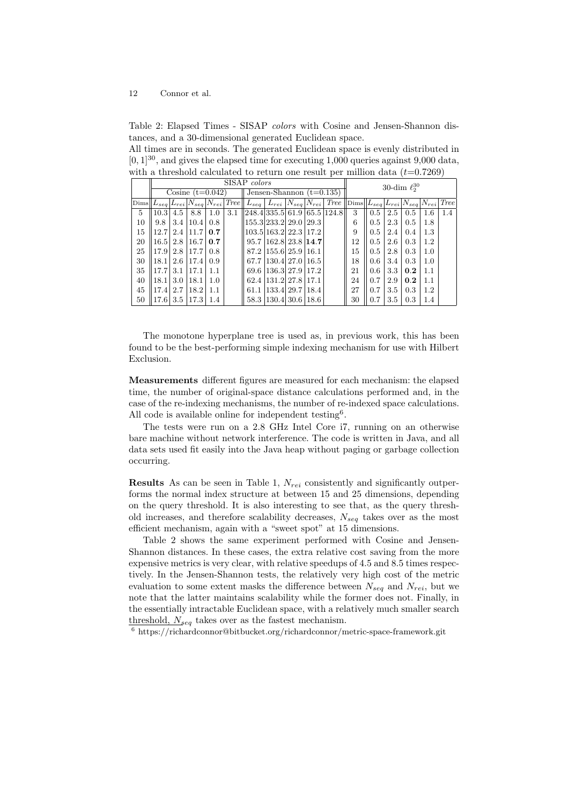Table 2: Elapsed Times - SISAP colors with Cosine and Jensen-Shannon distances, and a 30-dimensional generated Euclidean space.

All times are in seconds. The generated Euclidean space is evenly distributed in  $[0, 1]^{30}$ , and gives the elapsed time for executing 1,000 queries against 9,000 data, with a threshold calculated to return one result per million data  $(t=0.7269)$ 

|    | SISAP colors     |            |                                 |     |     |                            |                                                |  |  | 30-dim $\ell_2^{30}$                                                                                                                                                                                                                                                                                                                                            |    |     |                  |     |         |     |
|----|------------------|------------|---------------------------------|-----|-----|----------------------------|------------------------------------------------|--|--|-----------------------------------------------------------------------------------------------------------------------------------------------------------------------------------------------------------------------------------------------------------------------------------------------------------------------------------------------------------------|----|-----|------------------|-----|---------|-----|
|    |                  |            | Cosine $(t=0.042)$              |     |     | Jensen-Shannon $(t=0.135)$ |                                                |  |  |                                                                                                                                                                                                                                                                                                                                                                 |    |     |                  |     |         |     |
|    |                  |            |                                 |     |     |                            |                                                |  |  | $\lvert \text{Dims} \rvert \lvert L_{seq} \rvert \lvert L_{req} \rvert \lvert N_{seq} \rvert \lvert N_{req} \rvert \lvert Tree \rvert \lvert L_{seq} \rvert \lvert L_{req} \rvert \lvert N_{req} \rvert \lvert N_{req} \rvert \lvert N_{seq} \rvert \lvert N_{seq} \rvert \lvert N_{seq} \rvert \lvert N_{req} \rvert \lvert N_{req} \rvert \lvert Tree \rvert$ |    |     |                  |     |         |     |
| 5  | 10.3             |            | $4.5$   8.8                     | 1.0 | 3.1 |                            |                                                |  |  | 248.4 335.5 61.9 65.5 124.8                                                                                                                                                                                                                                                                                                                                     | 3  | 0.5 | 2.5              | 0.5 | $1.6\,$ | 1.4 |
| 10 | 9.8 <sup>1</sup> |            | $3.4 \mid 10.4 \mid$            | 0.8 |     |                            | 155.3 233.2 29.0 29.3                          |  |  |                                                                                                                                                                                                                                                                                                                                                                 | 6  | 0.5 | 2.3              | 0.5 | 1.8     |     |
| 15 |                  |            | $12.7$   $2.4$   $11.7$         | 0.7 |     |                            | 103.5 163.2 22.3 17.2                          |  |  |                                                                                                                                                                                                                                                                                                                                                                 | 9  | 0.5 | 2.4              | 0.4 | 1.3     |     |
| 20 |                  |            | $16.5$   $2.8$   $16.7$   $0.7$ |     |     |                            | $95.7 \,   162.8 \,   23.8 \,   \mathbf{14.7}$ |  |  |                                                                                                                                                                                                                                                                                                                                                                 | 12 | 0.5 | 2.6              | 0.3 | 1.2     |     |
| 25 |                  |            | 17.9 2.8 17.7                   | 0.8 |     |                            | 87.2 155.6 25.9 16.1                           |  |  |                                                                                                                                                                                                                                                                                                                                                                 | 15 | 0.5 | 2.8              | 0.3 | 1.0     |     |
| 30 |                  |            | 18.1   2.6   17.4               | 0.9 |     |                            | 67.7 130.4 27.0 16.5                           |  |  |                                                                                                                                                                                                                                                                                                                                                                 | 18 | 0.6 | 3.4              | 0.3 | 1.0     |     |
| 35 | 17.7             | 3.1        | 17.1                            | 1.1 |     |                            | 69.6 136.3 27.9 17.2                           |  |  |                                                                                                                                                                                                                                                                                                                                                                 | 21 | 0.6 | 3.3 <sub>1</sub> | 0.2 | 1.1     |     |
| 40 | 18.1             | 3.0        | 18.1                            | 1.0 |     |                            | 62.4 131.2 27.8 17.1                           |  |  |                                                                                                                                                                                                                                                                                                                                                                 | 24 | 0.7 | 2.9              | 0.2 | 1.1     |     |
| 45 |                  |            | 17.4   2.7   18.2               | 1.1 |     | 61.1                       | 133.4 29.7 18.4                                |  |  |                                                                                                                                                                                                                                                                                                                                                                 | 27 | 0.7 | 3.5              | 0.3 | 1.2     |     |
| 50 |                  | 17.6   3.5 | $\pm 17.3$                      | 1.4 |     |                            | 58.3 130.4 30.6 18.6                           |  |  |                                                                                                                                                                                                                                                                                                                                                                 | 30 | 0.7 | 3.5              | 0.3 | 1.4     |     |

The monotone hyperplane tree is used as, in previous work, this has been found to be the best-performing simple indexing mechanism for use with Hilbert Exclusion.

Measurements different figures are measured for each mechanism: the elapsed time, the number of original-space distance calculations performed and, in the case of the re-indexing mechanisms, the number of re-indexed space calculations. All code is available online for independent testing<sup>6</sup>.

The tests were run on a 2.8 GHz Intel Core i7, running on an otherwise bare machine without network interference. The code is written in Java, and all data sets used fit easily into the Java heap without paging or garbage collection occurring.

**Results** As can be seen in Table 1,  $N_{rei}$  consistently and significantly outperforms the normal index structure at between 15 and 25 dimensions, depending on the query threshold. It is also interesting to see that, as the query threshold increases, and therefore scalability decreases,  $N_{seq}$  takes over as the most efficient mechanism, again with a "sweet spot" at 15 dimensions.

Table 2 shows the same experiment performed with Cosine and Jensen-Shannon distances. In these cases, the extra relative cost saving from the more expensive metrics is very clear, with relative speedups of 4.5 and 8.5 times respectively. In the Jensen-Shannon tests, the relatively very high cost of the metric evaluation to some extent masks the difference between  $N_{seq}$  and  $N_{rei}$ , but we note that the latter maintains scalability while the former does not. Finally, in the essentially intractable Euclidean space, with a relatively much smaller search threshold,  $N_{seq}$  takes over as the fastest mechanism.

 $^6$ https://richardconnor@bitbucket.org/richardconnor/metric-space-framework.git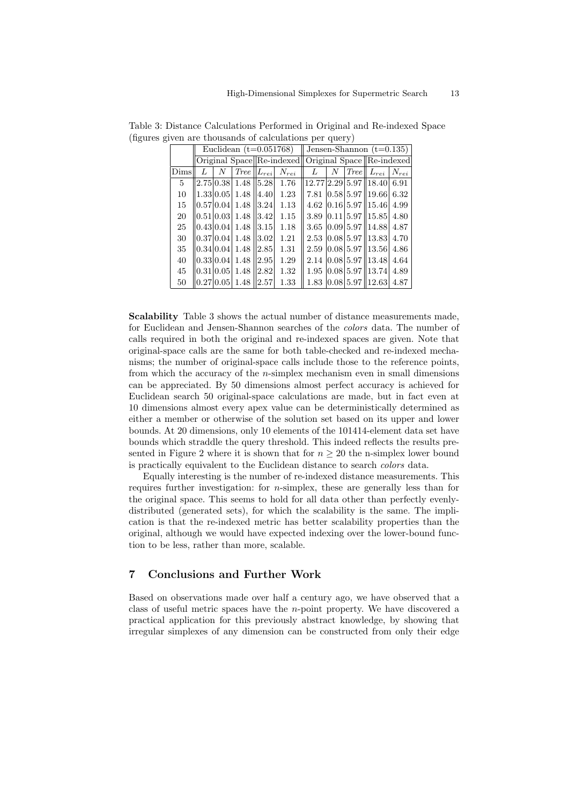|      |   |                                                        | Euclidean $(t=0.051768)$    |         |                            | Jensen-Shannon $(t=0.135)$ |   |           |                             |      |  |
|------|---|--------------------------------------------------------|-----------------------------|---------|----------------------------|----------------------------|---|-----------|-----------------------------|------|--|
|      |   | Original Space  Re-indexed  Original Space  Re-indexed |                             |         |                            |                            |   |           |                             |      |  |
| Dims | L | $N_{\rm}$                                              |                             |         | Tree $ L_{rei} $ $N_{rei}$ | L                          | N |           | $ Tree   L_{rei}   N_{rei}$ |      |  |
| 5.   |   |                                                        | 2.75 0.38 1.48 5.28         |         | 1.76                       |                            |   |           | 12.77 2.29 5.97 18.40 6.91  |      |  |
| 10   |   |                                                        | 1.33 0.05 1.48              | 4.40    | 1.23                       | 7.81                       |   |           | $ 0.58 $ 5.97   19.66       | 6.32 |  |
| 15   |   |                                                        | 0.57 0.04 1.48              | 3.24    | 1.13                       |                            |   |           | 4.62 0.16 5.97 15.46        | 4.99 |  |
| 20   |   |                                                        | $0.51 0.03 $ 1.48 $ 3.42 $  |         | 1.15                       |                            |   |           | 3.89 0.11 5.97 15.85        | 4.80 |  |
| 25   |   |                                                        | $0.43 0.04 $ 1.48 $  3.15 $ |         | 1.18                       |                            |   |           | 3.65 0.09 5.97 14.88        | 4.87 |  |
| 30   |   |                                                        | 0.37 0.04 1.48              | 13.02   | 1.21                       |                            |   |           | 2.53 0.08 5.97 13.83        | 4.70 |  |
| 35   |   |                                                        | 0.34 0.04 1.48              | 2.85    | 1.31                       |                            |   |           | 2.59 0.08 5.97 13.56        | 4.86 |  |
| 40   |   | 0.33 0.04                                              | 1.48                        | 2.95    | 1.29                       | 2.14                       |   |           | [0.0815.97113.48]           | 4.64 |  |
| 45   |   |                                                        | 0.31 0.05 1.48              | ll2.82l | 1.32                       | 1.95                       |   |           | $ 0.08 $ 5.97 $ 13.74 $     | 4.89 |  |
| 50   |   |                                                        | 0.27 0.05 1.48              | 2.57    | 1.33                       | 1.83                       |   | 0.08 5.97 | 12.63                       | 4.87 |  |

Table 3: Distance Calculations Performed in Original and Re-indexed Space (figures given are thousands of calculations per query)

Scalability Table 3 shows the actual number of distance measurements made, for Euclidean and Jensen-Shannon searches of the colors data. The number of calls required in both the original and re-indexed spaces are given. Note that original-space calls are the same for both table-checked and re-indexed mechanisms; the number of original-space calls include those to the reference points, from which the accuracy of the  $n$ -simplex mechanism even in small dimensions can be appreciated. By 50 dimensions almost perfect accuracy is achieved for Euclidean search 50 original-space calculations are made, but in fact even at 10 dimensions almost every apex value can be deterministically determined as either a member or otherwise of the solution set based on its upper and lower bounds. At 20 dimensions, only 10 elements of the 101414-element data set have bounds which straddle the query threshold. This indeed reflects the results presented in Figure 2 where it is shown that for  $n \geq 20$  the n-simplex lower bound is practically equivalent to the Euclidean distance to search colors data.

Equally interesting is the number of re-indexed distance measurements. This requires further investigation: for *n*-simplex, these are generally less than for the original space. This seems to hold for all data other than perfectly evenlydistributed (generated sets), for which the scalability is the same. The implication is that the re-indexed metric has better scalability properties than the original, although we would have expected indexing over the lower-bound function to be less, rather than more, scalable.

# 7 Conclusions and Further Work

Based on observations made over half a century ago, we have observed that a class of useful metric spaces have the n-point property. We have discovered a practical application for this previously abstract knowledge, by showing that irregular simplexes of any dimension can be constructed from only their edge